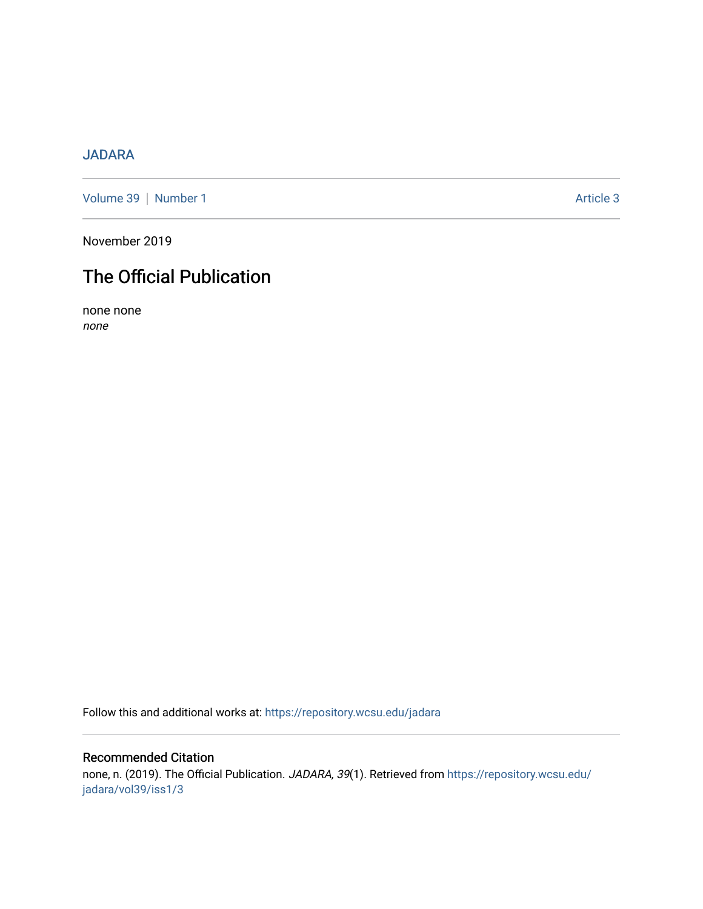### [JADARA](https://repository.wcsu.edu/jadara)

[Volume 39](https://repository.wcsu.edu/jadara/vol39) | [Number 1](https://repository.wcsu.edu/jadara/vol39/iss1) Article 3

November 2019

# The Official Publication

none none none

Follow this and additional works at: [https://repository.wcsu.edu/jadara](https://repository.wcsu.edu/jadara?utm_source=repository.wcsu.edu%2Fjadara%2Fvol39%2Fiss1%2F3&utm_medium=PDF&utm_campaign=PDFCoverPages)

#### Recommended Citation

none, n. (2019). The Official Publication. JADARA, 39(1). Retrieved from [https://repository.wcsu.edu/](https://repository.wcsu.edu/jadara/vol39/iss1/3?utm_source=repository.wcsu.edu%2Fjadara%2Fvol39%2Fiss1%2F3&utm_medium=PDF&utm_campaign=PDFCoverPages) [jadara/vol39/iss1/3](https://repository.wcsu.edu/jadara/vol39/iss1/3?utm_source=repository.wcsu.edu%2Fjadara%2Fvol39%2Fiss1%2F3&utm_medium=PDF&utm_campaign=PDFCoverPages)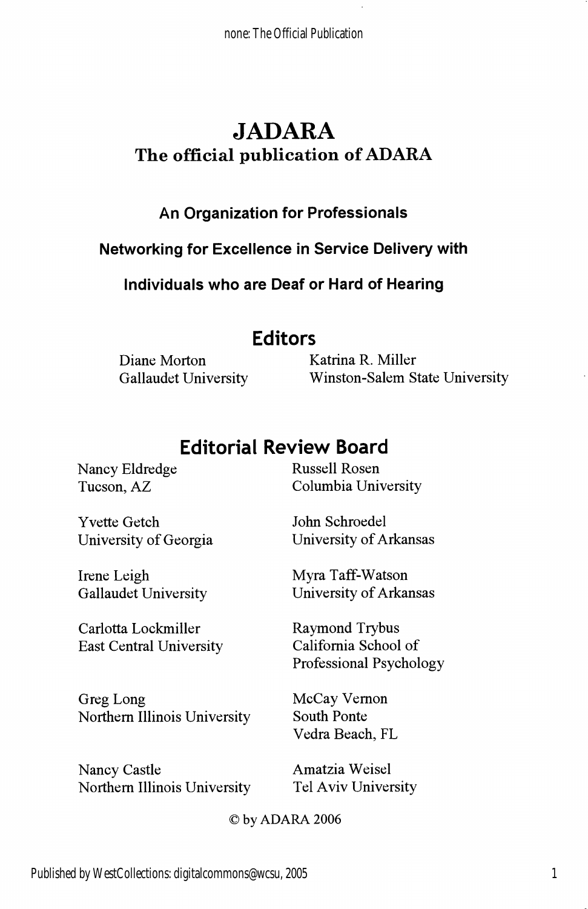none: The Official Publication

## JADARA The official publication of ADARA

### An Organization for Professionals

Networking for Excellence in Service Delivery with

Individuals who are Deaf or Hard of Hearing

### Editors

Diane Morton Katrina R. Miller

Gallaudet University Winston-Salem State University

## Editorial Review Board

Nancy Eldredge Russell Rosen

Yvette Getch John Schroedel

Irene Leigh Myra Taff-Watson

Carlotta Lockmiller<br>
East Central University<br>
California School of East Central University

Greg Long McCay Vernon Northern Illinois University South Ponte

Nancy Castle Amatzia Weisel

Tucson, AZ Columbia University

University of Georgia University of Arkansas

Gallaudet University University of Arkansas

Professional Psychology

Vedra Beach, FL

Northern Illinois University Tel Aviv University

) by ADARA 2006